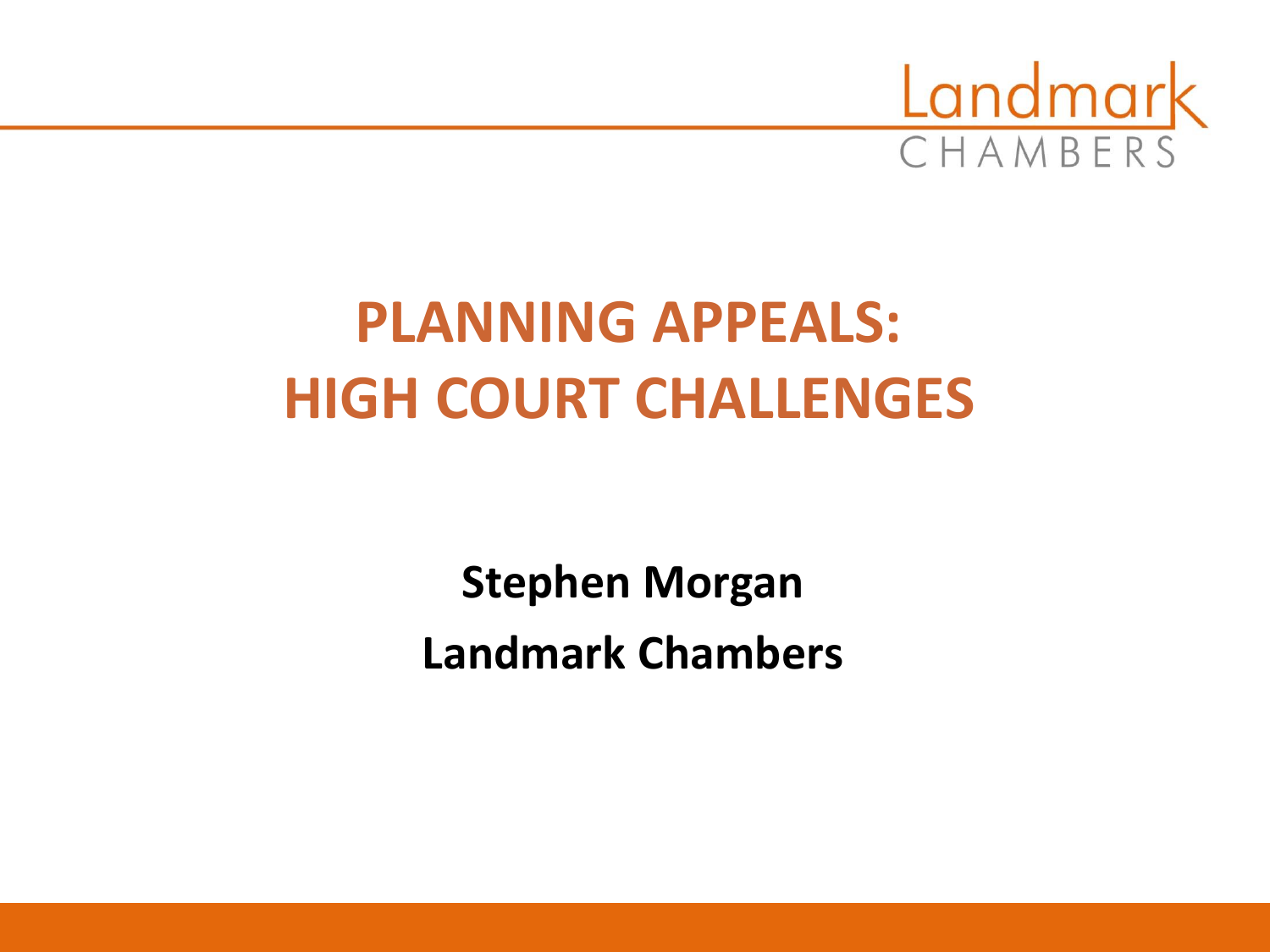

# **PLANNING APPEALS: HIGH COURT CHALLENGES**

**Stephen Morgan Landmark Chambers**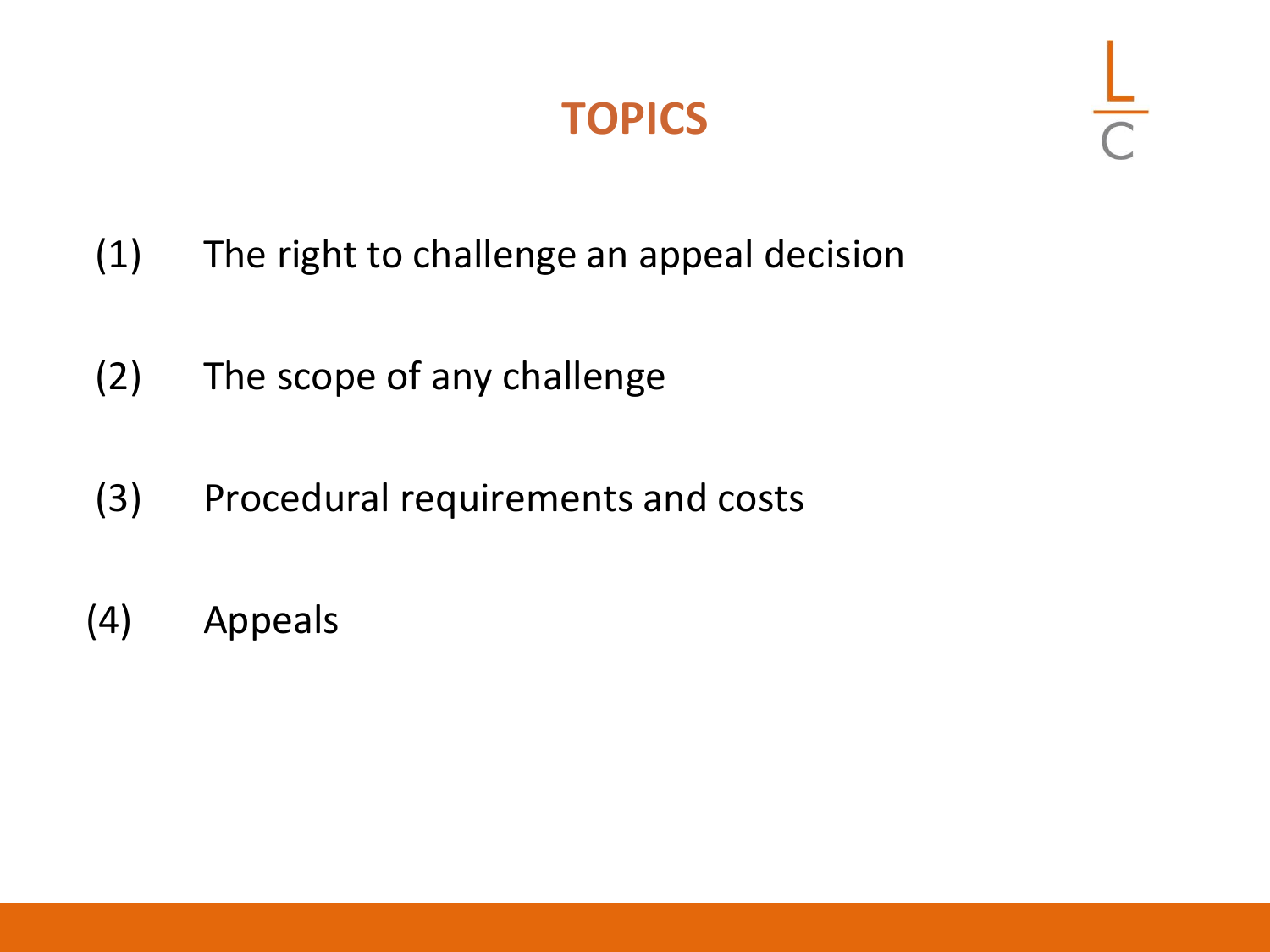#### **TOPICS**

- (1) The right to challenge an appeal decision
- (2) The scope of any challenge
- (3) Procedural requirements and costs
- (4) Appeals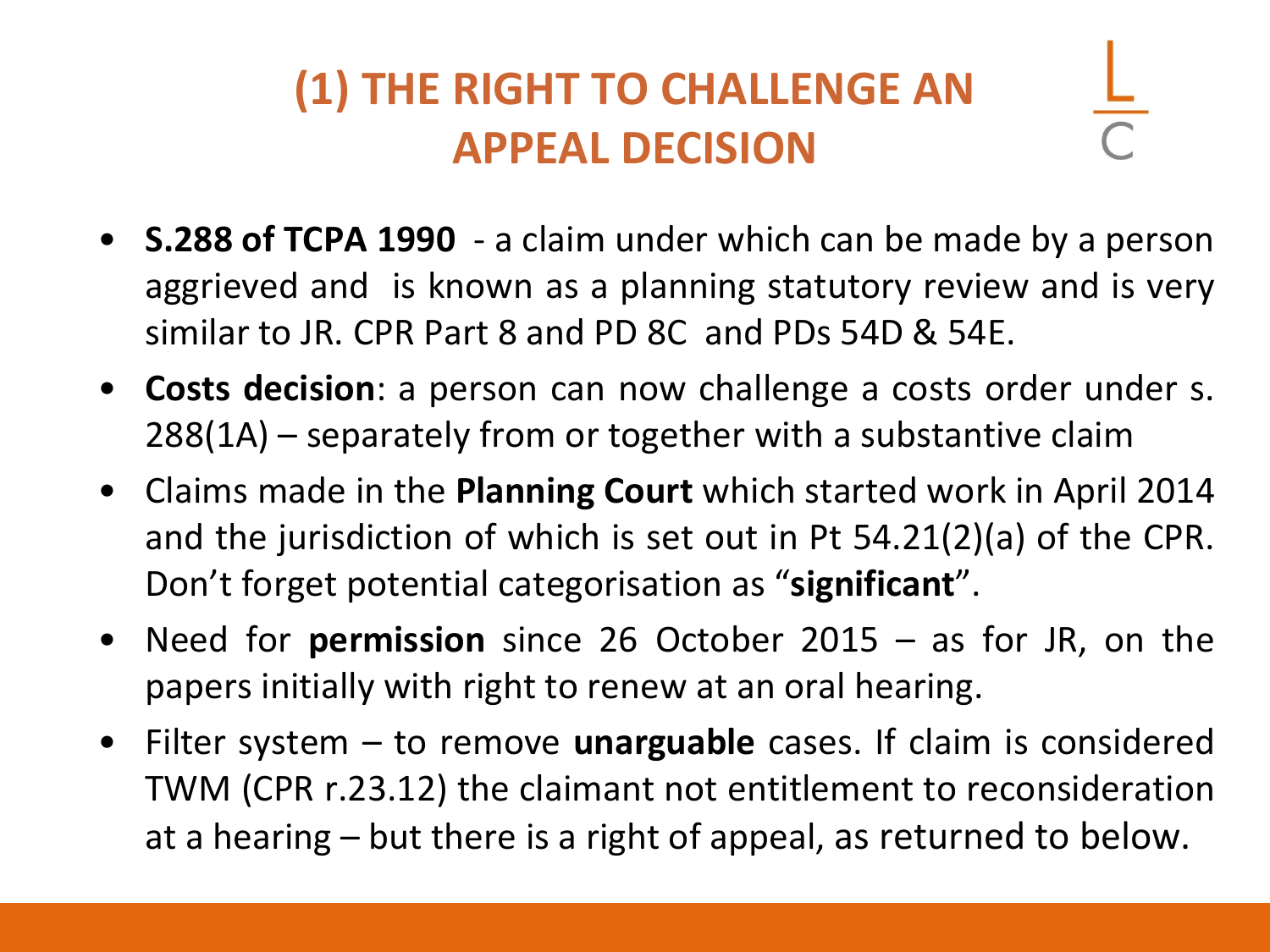# **(1) THE RIGHT TO CHALLENGE AN APPEAL DECISION**

- **S.288 of TCPA 1990** a claim under which can be made by a person aggrieved and is known as a planning statutory review and is very similar to JR. CPR Part 8 and PD 8C and PDs 54D & 54E.
- **Costs decision**: a person can now challenge a costs order under s. 288(1A) – separately from or together with a substantive claim
- Claims made in the **Planning Court** which started work in April 2014 and the jurisdiction of which is set out in Pt 54.21(2)(a) of the CPR. Don't forget potential categorisation as "**significant**".
- Need for **permission** since 26 October 2015 as for JR, on the papers initially with right to renew at an oral hearing.
- Filter system to remove **unarguable** cases. If claim is considered TWM (CPR r.23.12) the claimant not entitlement to reconsideration at a hearing – but there is a right of appeal, as returned to below.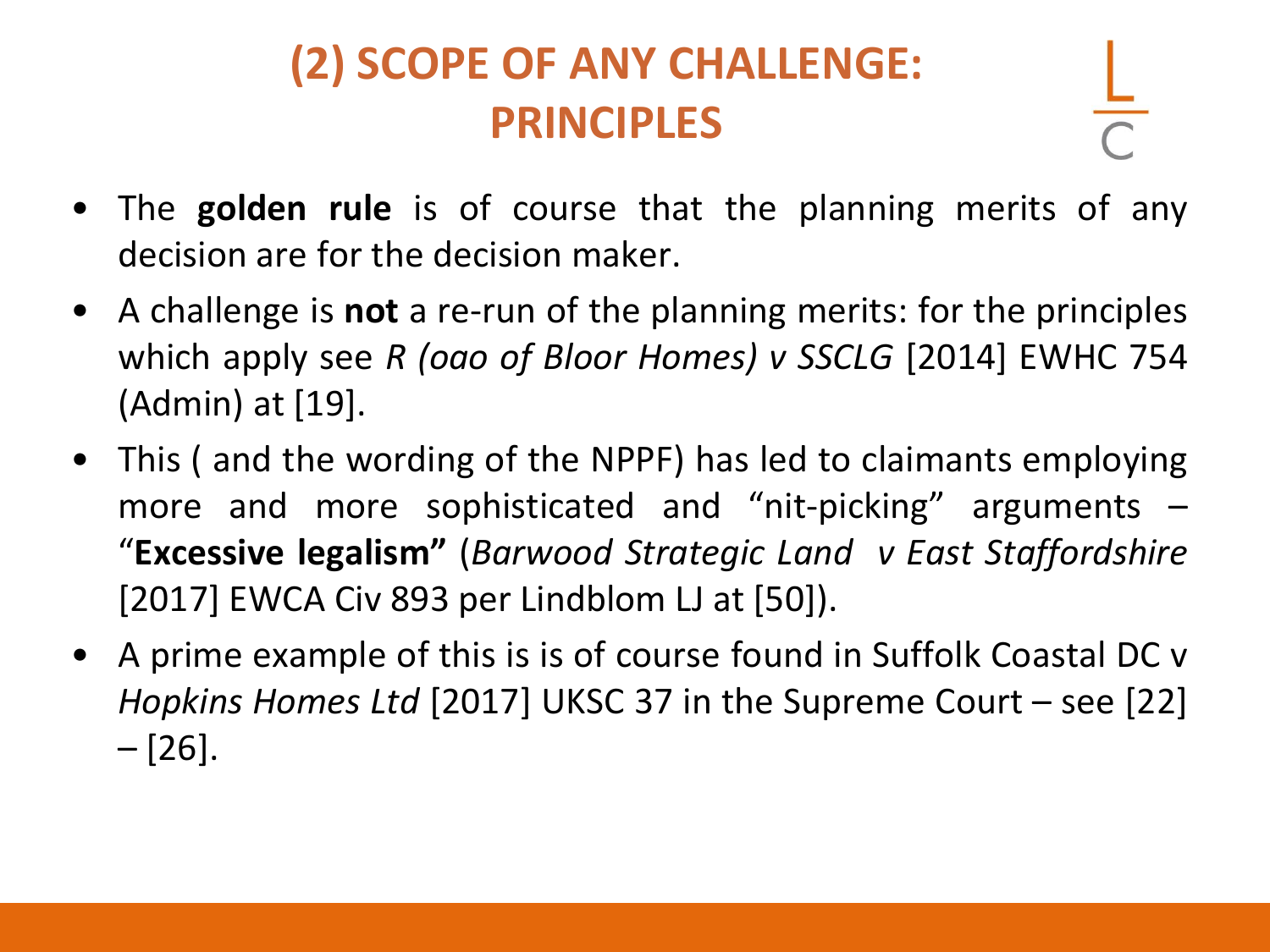### **(2) SCOPE OF ANY CHALLENGE: PRINCIPLES**

- The **golden rule** is of course that the planning merits of any decision are for the decision maker.
- A challenge is **not** a re-run of the planning merits: for the principles which apply see *R (oao of Bloor Homes) v SSCLG* [2014] EWHC 754 (Admin) at [19].
- This ( and the wording of the NPPF) has led to claimants employing more and more sophisticated and "nit-picking" arguments – "**Excessive legalism"** (*Barwood Strategic Land v East Staffordshire* [2017] EWCA Civ 893 per Lindblom LJ at [50]).
- A prime example of this is is of course found in Suffolk Coastal DC v *Hopkins Homes Ltd* [2017] UKSC 37 in the Supreme Court – see [22] – [26].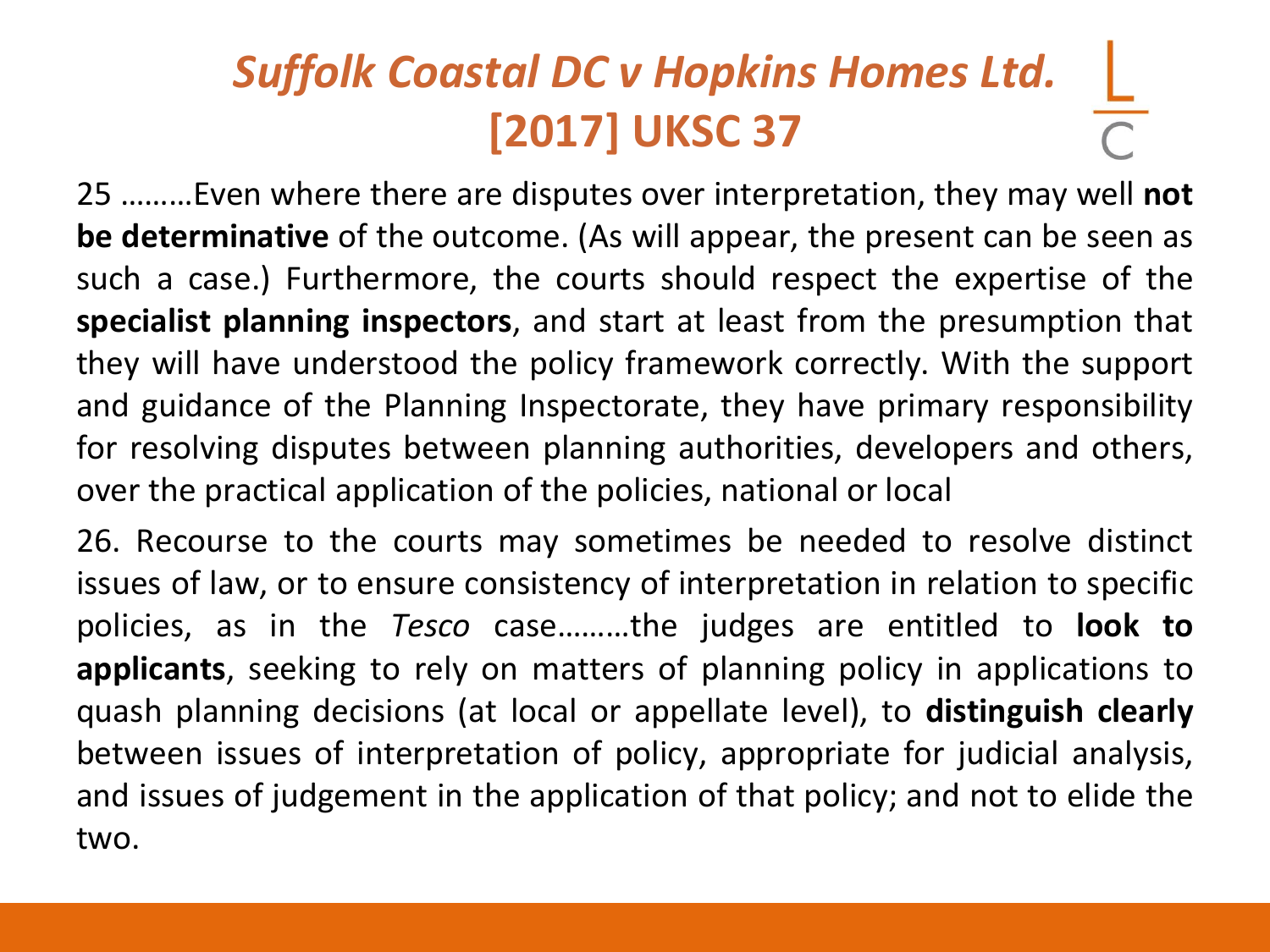# *Suffolk Coastal DC v Hopkins Homes Ltd.* **[2017] UKSC 37**

25 ………Even where there are disputes over interpretation, they may well **not be determinative** of the outcome. (As will appear, the present can be seen as such a case.) Furthermore, the courts should respect the expertise of the **specialist planning inspectors**, and start at least from the presumption that they will have understood the policy framework correctly. With the support and guidance of the Planning Inspectorate, they have primary responsibility for resolving disputes between planning authorities, developers and others, over the practical application of the policies, national or local

26. Recourse to the courts may sometimes be needed to resolve distinct issues of law, or to ensure consistency of interpretation in relation to specific policies, as in the *Tesco* case………the judges are entitled to **look to applicants**, seeking to rely on matters of planning policy in applications to quash planning decisions (at local or appellate level), to **distinguish clearly** between issues of interpretation of policy, appropriate for judicial analysis, and issues of judgement in the application of that policy; and not to elide the two.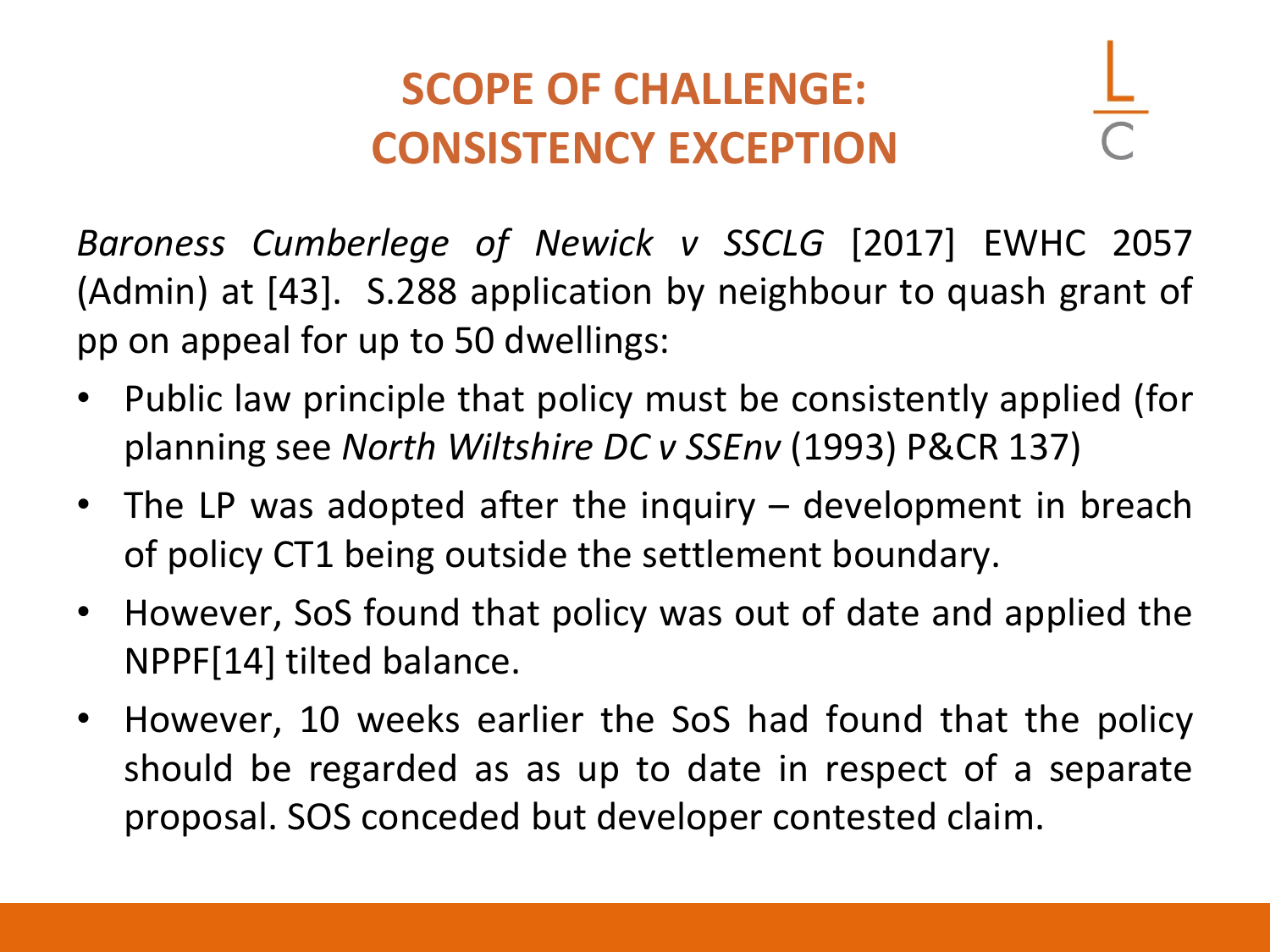#### **SCOPE OF CHALLENGE: CONSISTENCY EXCEPTION**

*Baroness Cumberlege of Newick v SSCLG* [2017] EWHC 2057 (Admin) at [43]. S.288 application by neighbour to quash grant of pp on appeal for up to 50 dwellings:

- Public law principle that policy must be consistently applied (for planning see *North Wiltshire DC v SSEnv* (1993) P&CR 137)
- The LP was adopted after the inquiry development in breach of policy CT1 being outside the settlement boundary.
- However, SoS found that policy was out of date and applied the NPPF[14] tilted balance.
- However, 10 weeks earlier the SoS had found that the policy should be regarded as as up to date in respect of a separate proposal. SOS conceded but developer contested claim.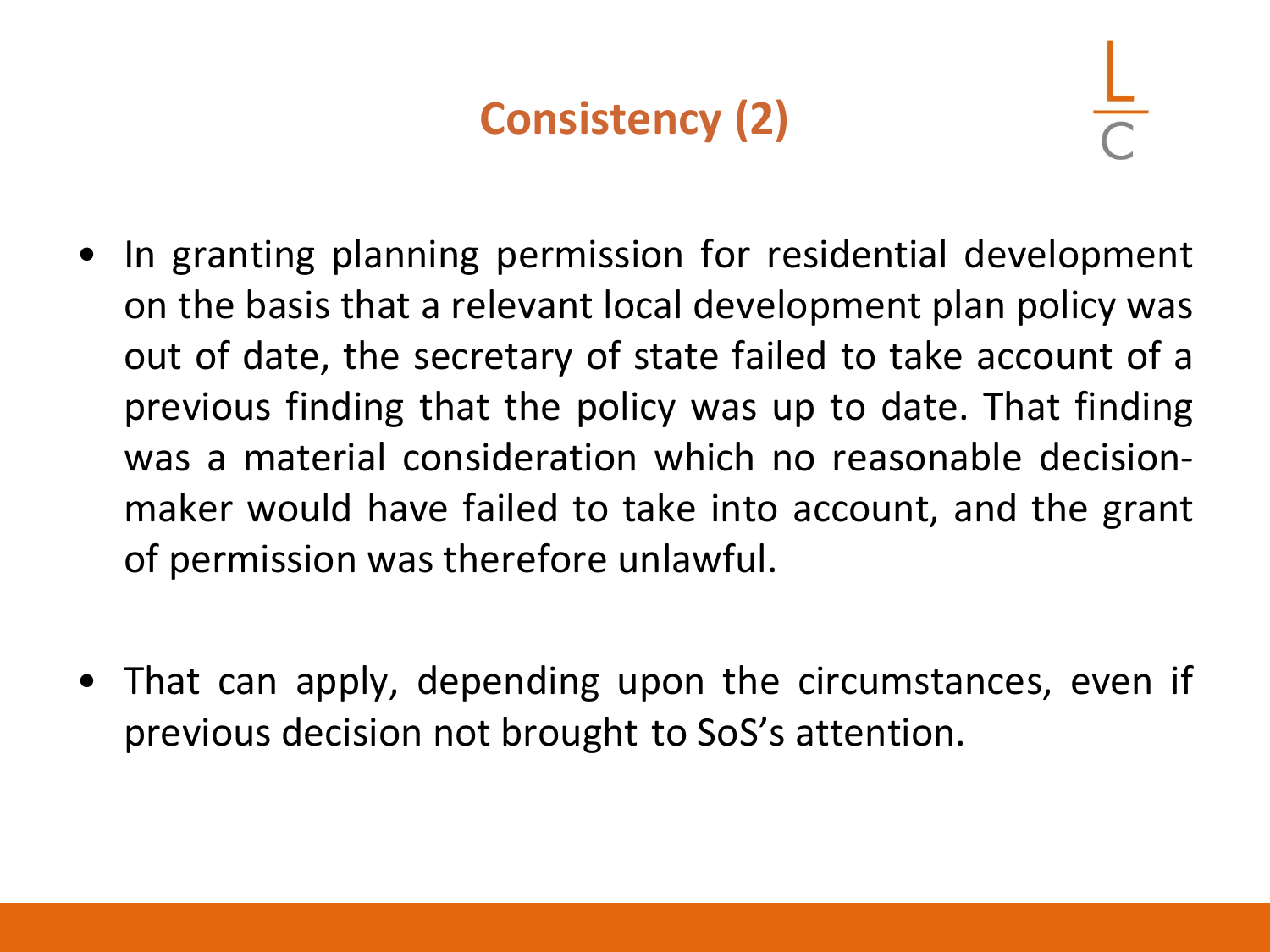## **Consistency (2)**

- In granting planning permission for residential development on the basis that a relevant local development plan policy was out of date, the secretary of state failed to take account of a previous finding that the policy was up to date. That finding was a material consideration which no reasonable decisionmaker would have failed to take into account, and the grant of permission was therefore unlawful.
- That can apply, depending upon the circumstances, even if previous decision not brought to SoS's attention.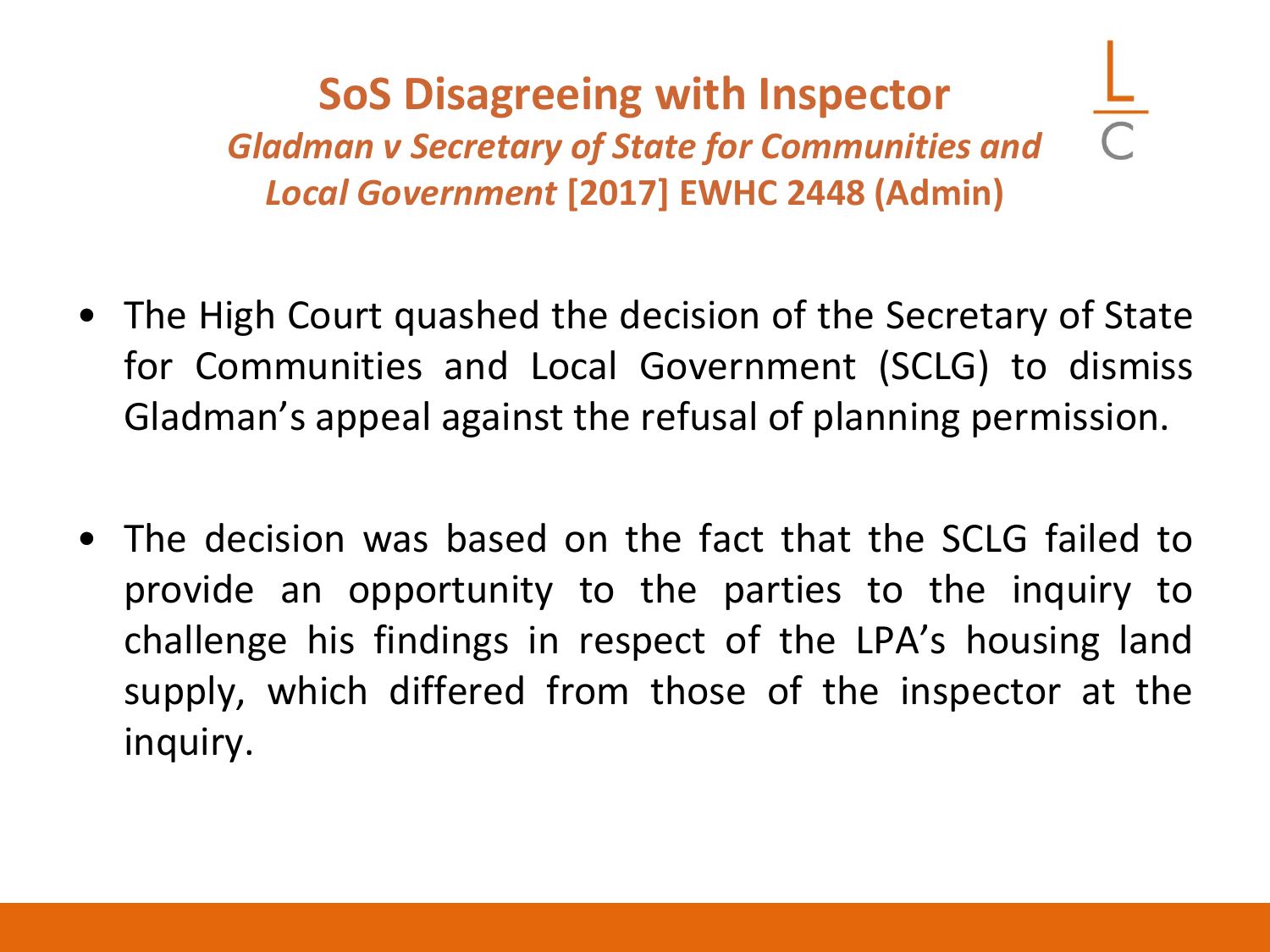**SoS Disagreeing with Inspector** *Gladman v Secretary of State for Communities and Local Government* **[2017] EWHC 2448 (Admin)**

- The High Court quashed the decision of the Secretary of State for Communities and Local Government (SCLG) to dismiss Gladman's appeal against the refusal of planning permission.
- The decision was based on the fact that the SCLG failed to provide an opportunity to the parties to the inquiry to challenge his findings in respect of the LPA's housing land supply, which differed from those of the inspector at the inquiry.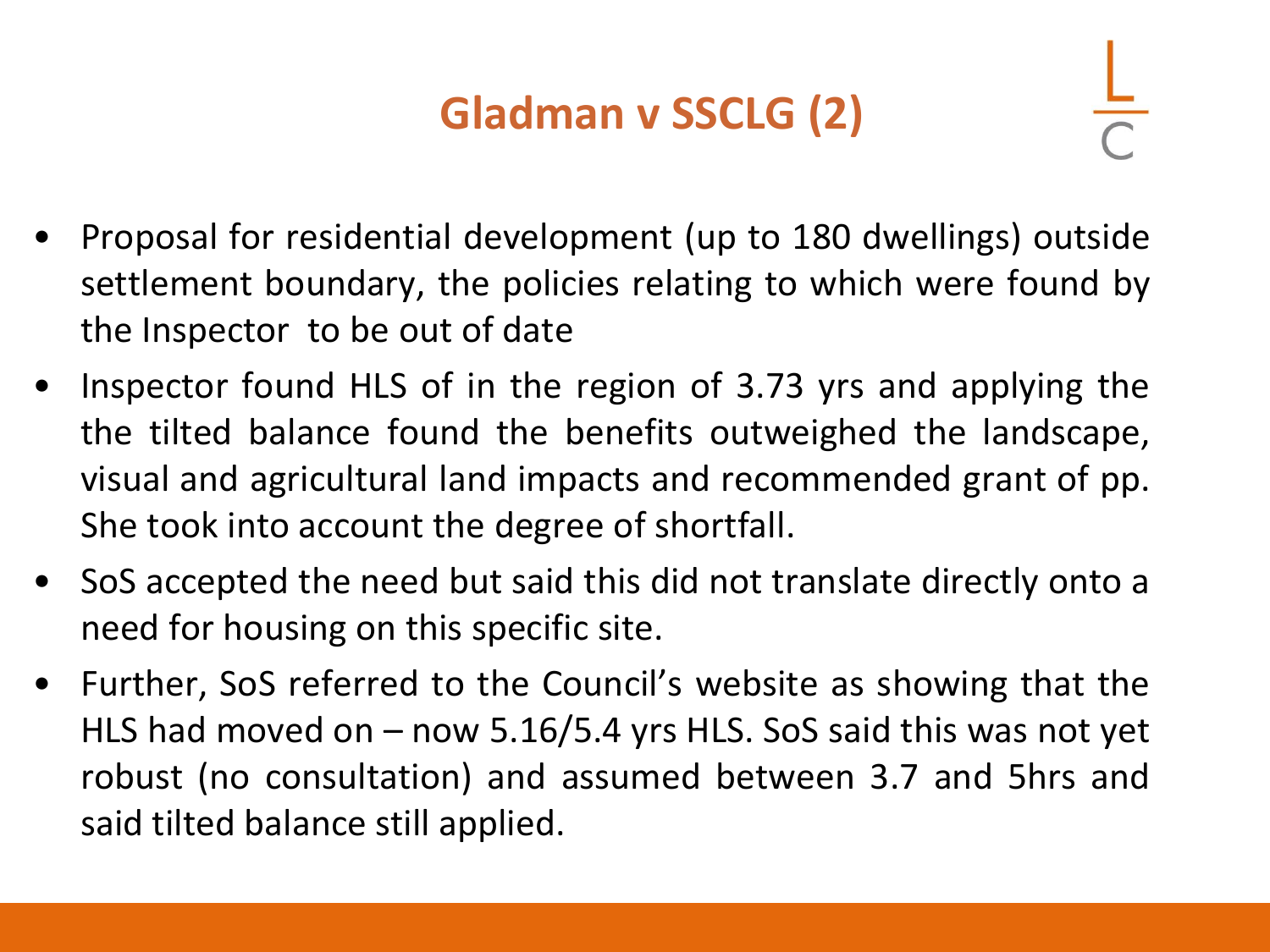## **Gladman v SSCLG (2)**

- 
- Proposal for residential development (up to 180 dwellings) outside settlement boundary, the policies relating to which were found by the Inspector to be out of date
- Inspector found HLS of in the region of 3.73 yrs and applying the the tilted balance found the benefits outweighed the landscape, visual and agricultural land impacts and recommended grant of pp. She took into account the degree of shortfall.
- SoS accepted the need but said this did not translate directly onto a need for housing on this specific site.
- Further, SoS referred to the Council's website as showing that the HLS had moved on – now 5.16/5.4 yrs HLS. SoS said this was not yet robust (no consultation) and assumed between 3.7 and 5hrs and said tilted balance still applied.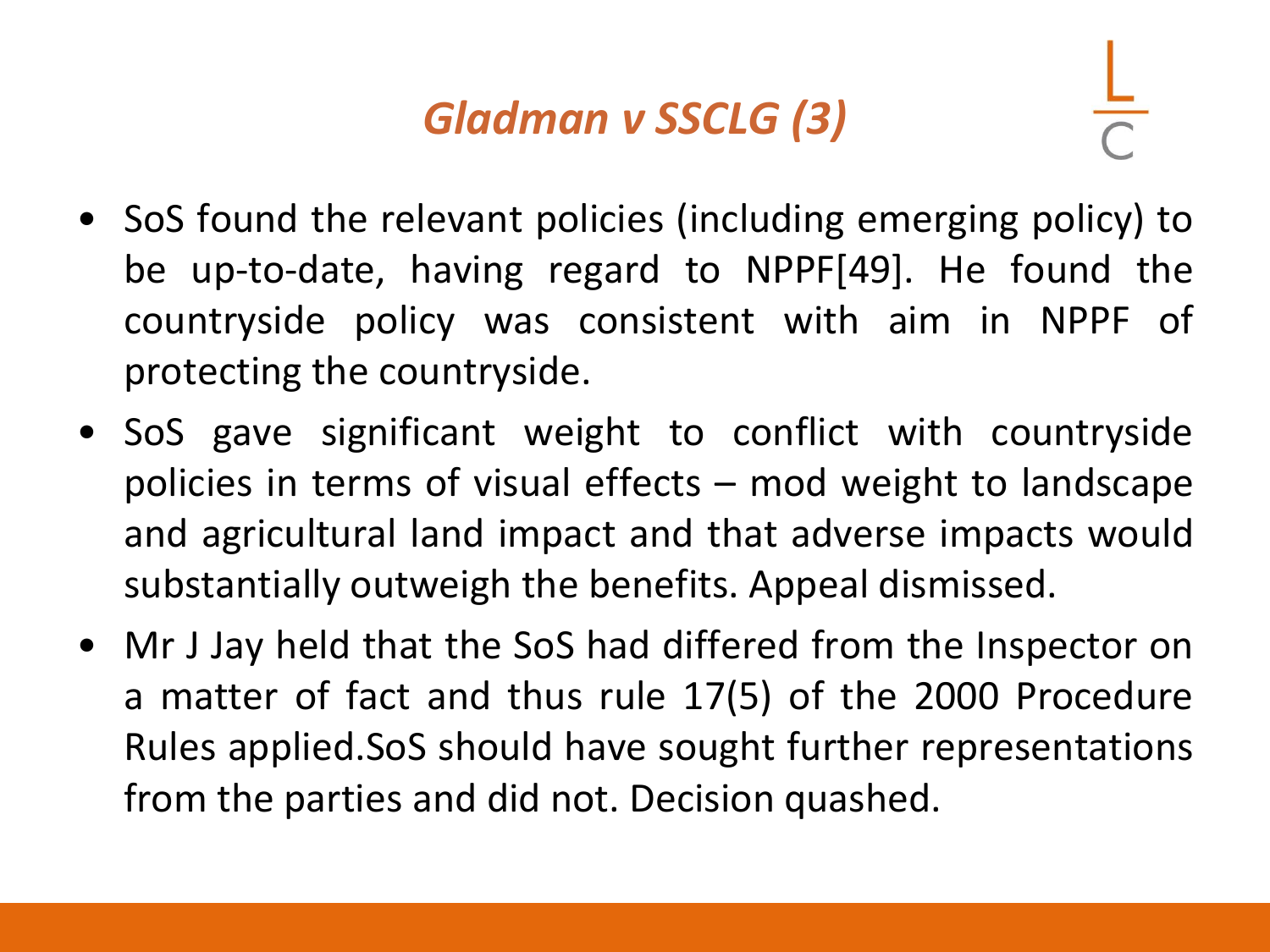#### *Gladman v SSCLG (3)*

- 
- SoS found the relevant policies (including emerging policy) to be up-to-date, having regard to NPPF[49]. He found the countryside policy was consistent with aim in NPPF of protecting the countryside.
- SoS gave significant weight to conflict with countryside policies in terms of visual effects – mod weight to landscape and agricultural land impact and that adverse impacts would substantially outweigh the benefits. Appeal dismissed.
- Mr J Jay held that the SoS had differed from the Inspector on a matter of fact and thus rule 17(5) of the 2000 Procedure Rules applied.SoS should have sought further representations from the parties and did not. Decision quashed.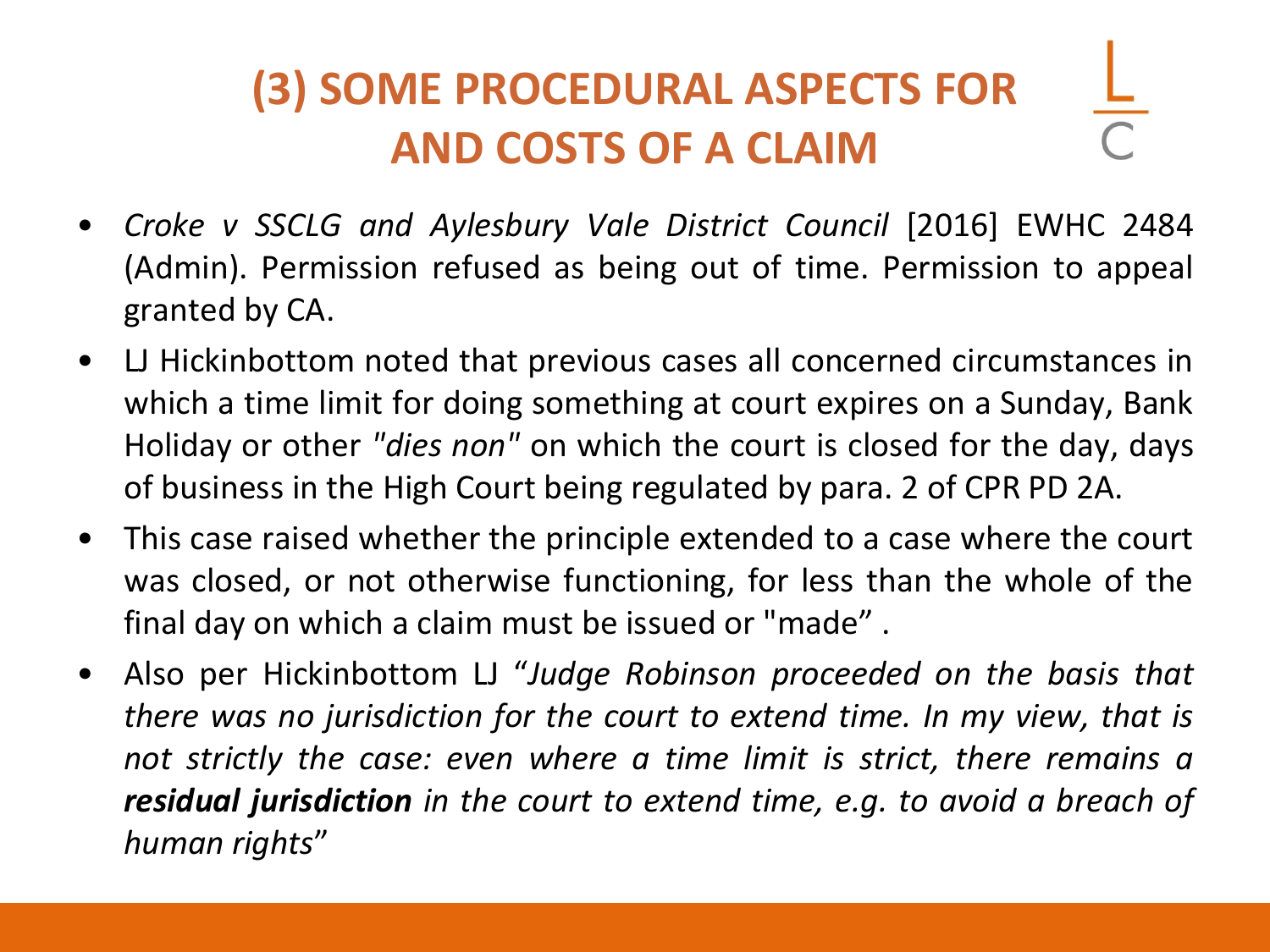# **(3) SOME PROCEDURAL ASPECTS FOR AND COSTS OF A CLAIM**

- *Croke v SSCLG and Aylesbury Vale District Council* [2016] EWHC 2484 (Admin). Permission refused as being out of time. Permission to appeal granted by CA.
- LJ Hickinbottom noted that previous cases all concerned circumstances in which a time limit for doing something at court expires on a Sunday, Bank Holiday or other *"dies non"* on which the court is closed for the day, days of business in the High Court being regulated by para. 2 of CPR PD 2A.
- This case raised whether the principle extended to a case where the court was closed, or not otherwise functioning, for less than the whole of the final day on which a claim must be issued or "made" .
- Also per Hickinbottom LJ "*Judge Robinson proceeded on the basis that there was no jurisdiction for the court to extend time. In my view, that is not strictly the case: even where a time limit is strict, there remains a residual jurisdiction in the court to extend time, e.g. to avoid a breach of human rights*"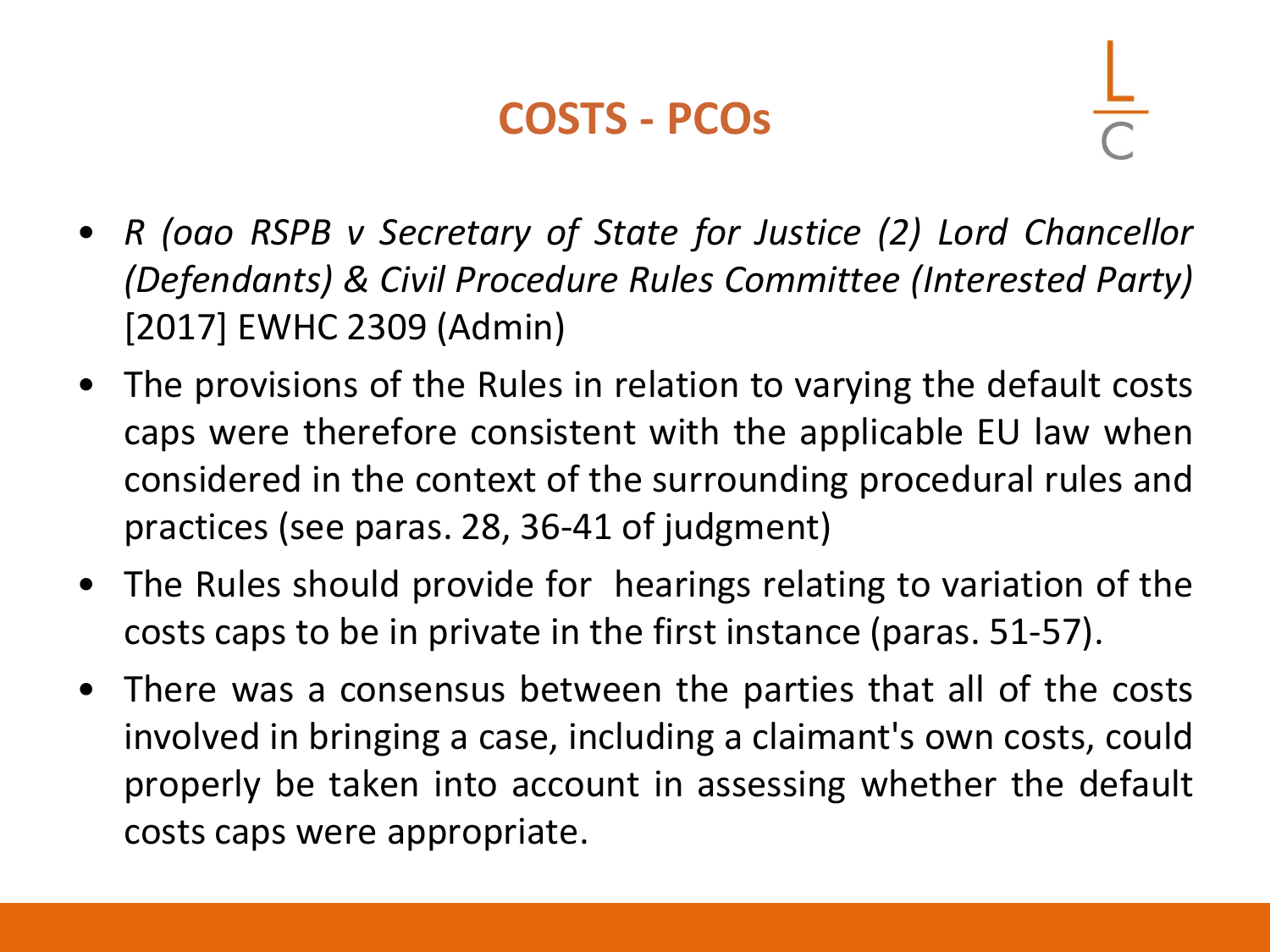#### **COSTS - PCOs**

- *R (oao RSPB v Secretary of State for Justice (2) Lord Chancellor (Defendants) & Civil Procedure Rules Committee (Interested Party)* [2017] EWHC 2309 (Admin)
- The provisions of the Rules in relation to varying the default costs caps were therefore consistent with the applicable EU law when considered in the context of the surrounding procedural rules and practices (see paras. 28, 36-41 of judgment)
- The Rules should provide for hearings relating to variation of the costs caps to be in private in the first instance (paras. 51-57).
- There was a consensus between the parties that all of the costs involved in bringing a case, including a claimant's own costs, could properly be taken into account in assessing whether the default costs caps were appropriate.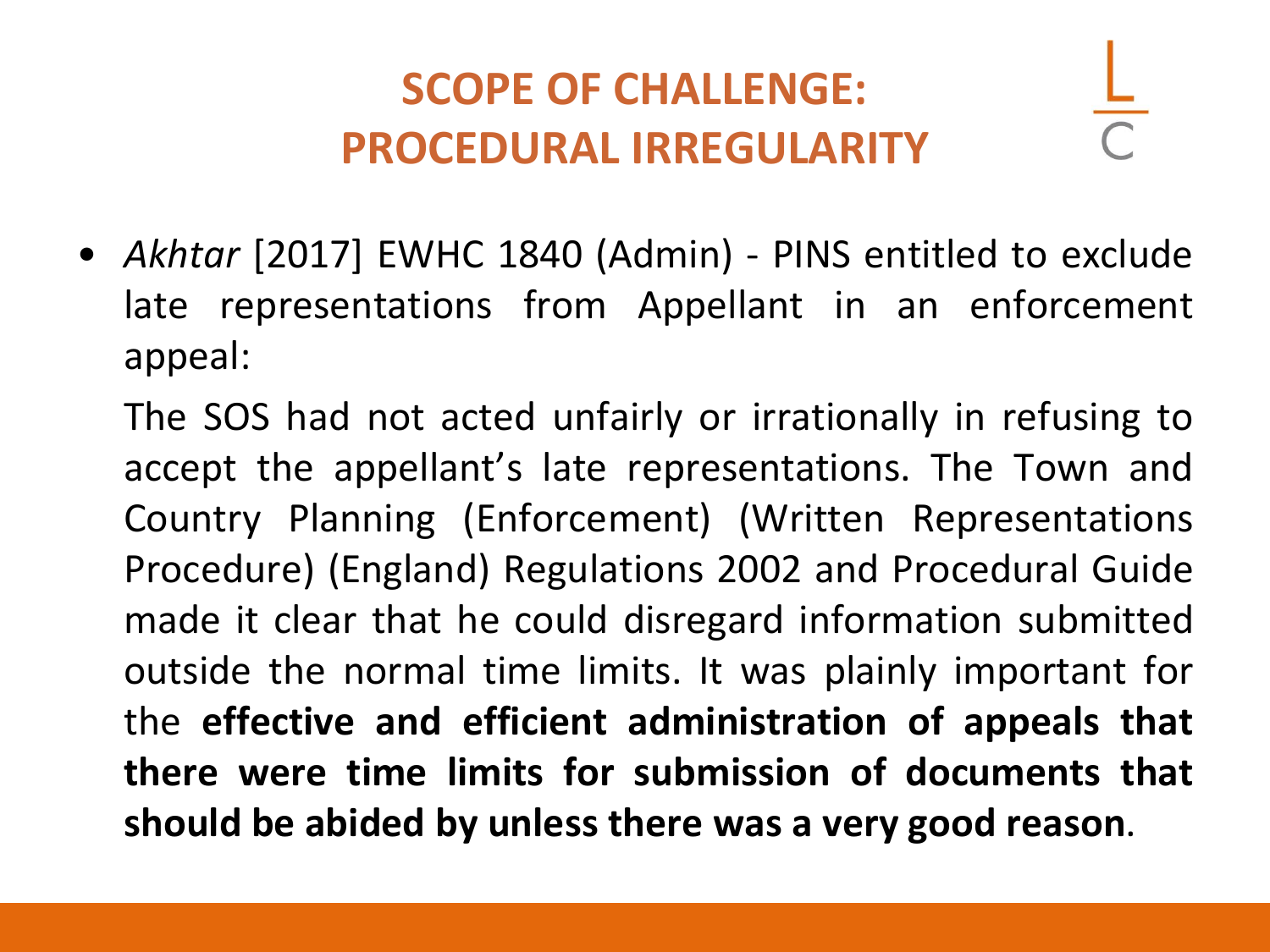### **SCOPE OF CHALLENGE: PROCEDURAL IRREGULARITY**

• *Akhtar* [2017] EWHC 1840 (Admin) - PINS entitled to exclude late representations from Appellant in an enforcement appeal:

The SOS had not acted unfairly or irrationally in refusing to accept the appellant's late representations. The Town and Country Planning (Enforcement) (Written Representations Procedure) (England) Regulations 2002 and Procedural Guide made it clear that he could disregard information submitted outside the normal time limits. It was plainly important for the **effective and efficient administration of appeals that there were time limits for submission of documents that should be abided by unless there was a very good reason**.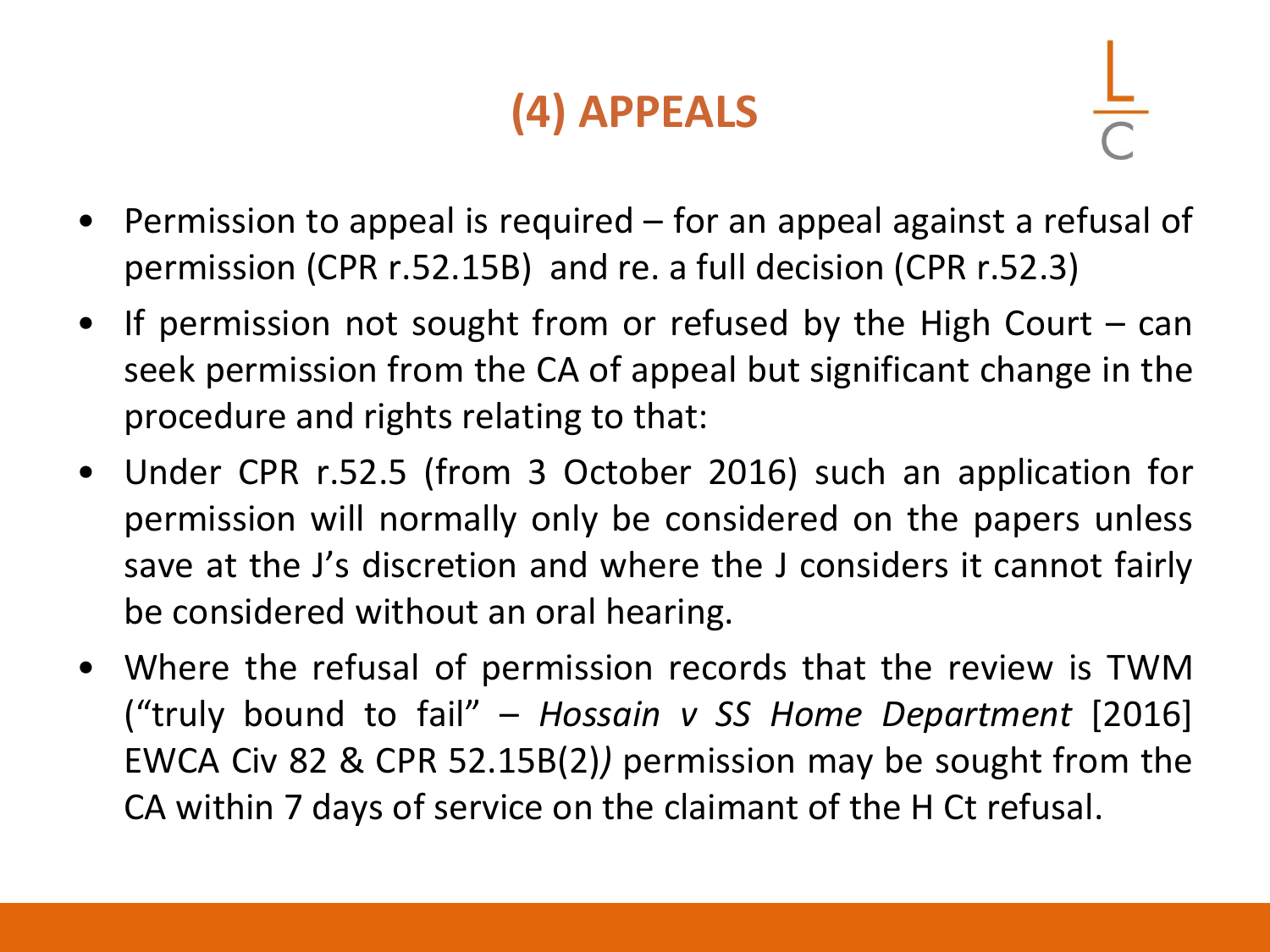# **(4) APPEALS**

- Permission to appeal is required for an appeal against a refusal of permission (CPR r.52.15B) and re. a full decision (CPR r.52.3)
- If permission not sought from or refused by the High Court can seek permission from the CA of appeal but significant change in the procedure and rights relating to that:
- Under CPR r.52.5 (from 3 October 2016) such an application for permission will normally only be considered on the papers unless save at the J's discretion and where the J considers it cannot fairly be considered without an oral hearing.
- Where the refusal of permission records that the review is TWM ("truly bound to fail" – *Hossain v SS Home Department* [2016] EWCA Civ 82 & CPR 52.15B(2)*)* permission may be sought from the CA within 7 days of service on the claimant of the H Ct refusal.